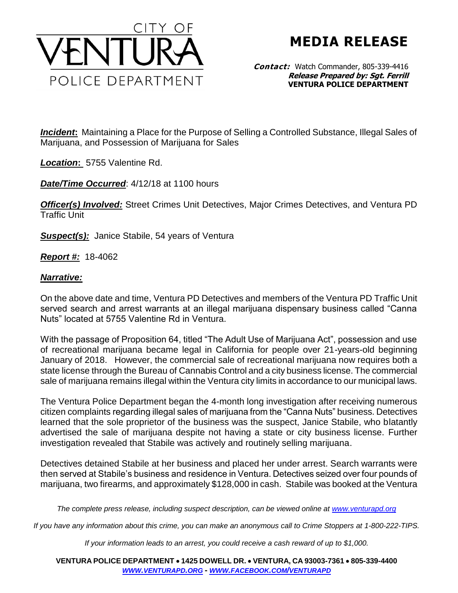

**MEDIA RELEASE**

**Contact:** Watch Commander, 805-339-4416 **Release Prepared by: Sgt. Ferrill VENTURA POLICE DEPARTMENT**

*Incident***:** Maintaining a Place for the Purpose of Selling a Controlled Substance, Illegal Sales of Marijuana, and Possession of Marijuana for Sales

*Location***:** 5755 Valentine Rd.

*Date/Time Occurred*: 4/12/18 at 1100 hours

*Officer(s) Involved:* Street Crimes Unit Detectives, Major Crimes Detectives, and Ventura PD Traffic Unit

**Suspect(s):** Janice Stabile, 54 years of Ventura

*Report #:* 18-4062

## *Narrative:*

On the above date and time, Ventura PD Detectives and members of the Ventura PD Traffic Unit served search and arrest warrants at an illegal marijuana dispensary business called "Canna Nuts" located at 5755 Valentine Rd in Ventura.

With the passage of Proposition 64, titled "The Adult Use of Marijuana Act", possession and use of recreational marijuana became legal in California for people over 21-years-old beginning January of 2018. However, the commercial sale of recreational marijuana now requires both a state license through the Bureau of Cannabis Control and a city business license. The commercial sale of marijuana remains illegal within the Ventura city limits in accordance to our municipal laws.

The Ventura Police Department began the 4-month long investigation after receiving numerous citizen complaints regarding illegal sales of marijuana from the "Canna Nuts" business. Detectives learned that the sole proprietor of the business was the suspect, Janice Stabile, who blatantly advertised the sale of marijuana despite not having a state or city business license. Further investigation revealed that Stabile was actively and routinely selling marijuana.

Detectives detained Stabile at her business and placed her under arrest. Search warrants were then served at Stabile's business and residence in Ventura. Detectives seized over four pounds of marijuana, two firearms, and approximately \$128,000 in cash. Stabile was booked at the Ventura

*The complete press release, including suspect description, can be viewed online at [www.venturapd.org](http://www.venturapd.org/)*

*If you have any information about this crime, you can make an anonymous call to Crime Stoppers at 1-800-222-TIPS.*

*If your information leads to an arrest, you could receive a cash reward of up to \$1,000.*

**VENTURA POLICE DEPARTMENT 1425 DOWELL DR. VENTURA, CA 93003-7361 805-339-4400**  *WWW.[VENTURAPD](http://www.venturapd.org/).ORG* **-** *WWW.FACEBOOK.COM/[VENTURAPD](http://www.facebook.com/venturapd)*